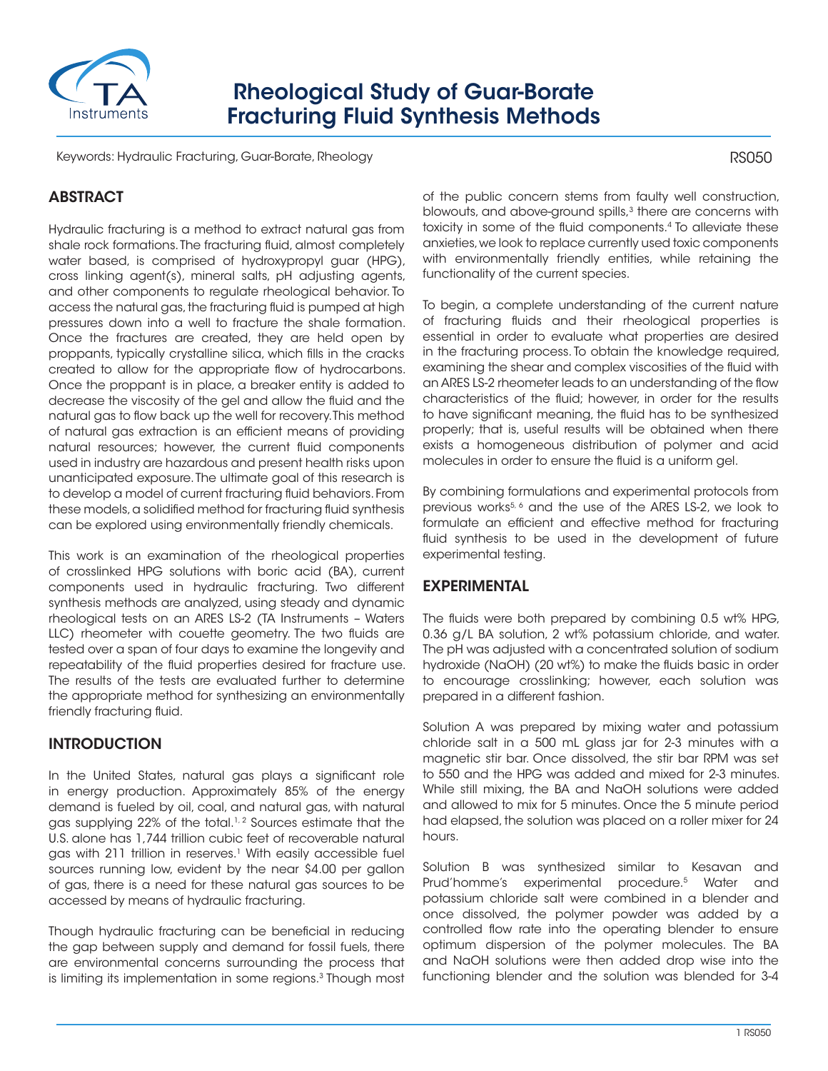

# Rheological Study of Guar-Borate Fracturing Fluid Synthesis Methods

Keywords: Hydraulic Fracturing, Guar-Borate, Rheology

# ABSTRACT

Hydraulic fracturing is a method to extract natural gas from shale rock formations. The fracturing fluid, almost completely water based, is comprised of hydroxypropyl guar (HPG), cross linking agent(s), mineral salts, pH adjusting agents, and other components to regulate rheological behavior. To access the natural gas, the fracturing fluid is pumped at high pressures down into a well to fracture the shale formation. Once the fractures are created, they are held open by proppants, typically crystalline silica, which fills in the cracks created to allow for the appropriate flow of hydrocarbons. Once the proppant is in place, a breaker entity is added to decrease the viscosity of the gel and allow the fluid and the natural gas to flow back up the well for recovery. This method of natural gas extraction is an efficient means of providing natural resources; however, the current fluid components used in industry are hazardous and present health risks upon unanticipated exposure. The ultimate goal of this research is to develop a model of current fracturing fluid behaviors. From these models, a solidified method for fracturing fluid synthesis can be explored using environmentally friendly chemicals.

This work is an examination of the rheological properties of crosslinked HPG solutions with boric acid (BA), current components used in hydraulic fracturing. Two different synthesis methods are analyzed, using steady and dynamic rheological tests on an ARES LS-2 (TA Instruments – Waters LLC) rheometer with couette geometry. The two fluids are tested over a span of four days to examine the longevity and repeatability of the fluid properties desired for fracture use. The results of the tests are evaluated further to determine the appropriate method for synthesizing an environmentally friendly fracturing fluid.

# **INTRODUCTION**

In the United States, natural gas plays a significant role in energy production. Approximately 85% of the energy demand is fueled by oil, coal, and natural gas, with natural gas supplying 22% of the total.<sup>1,2</sup> Sources estimate that the U.S. alone has 1,744 trillion cubic feet of recoverable natural gas with 211 trillion in reserves.<sup>1</sup> With easily accessible fuel sources running low, evident by the near \$4.00 per gallon of gas, there is a need for these natural gas sources to be accessed by means of hydraulic fracturing.

Though hydraulic fracturing can be beneficial in reducing the gap between supply and demand for fossil fuels, there are environmental concerns surrounding the process that is limiting its implementation in some regions.<sup>3</sup> Though most of the public concern stems from faulty well construction, blowouts, and above-ground spills,<sup>3</sup> there are concerns with toxicity in some of the fluid components.4 To alleviate these anxieties, we look to replace currently used toxic components with environmentally friendly entities, while retaining the functionality of the current species.

To begin, a complete understanding of the current nature of fracturing fluids and their rheological properties is essential in order to evaluate what properties are desired in the fracturing process. To obtain the knowledge required, examining the shear and complex viscosities of the fluid with an ARES LS-2 rheometer leads to an understanding of the flow characteristics of the fluid; however, in order for the results to have significant meaning, the fluid has to be synthesized properly; that is, useful results will be obtained when there exists a homogeneous distribution of polymer and acid molecules in order to ensure the fluid is a uniform gel.

By combining formulations and experimental protocols from previous works<sup>5, 6</sup> and the use of the ARES LS-2, we look to formulate an efficient and effective method for fracturing fluid synthesis to be used in the development of future experimental testing.

# EXPERIMENTAL

The fluids were both prepared by combining 0.5 wt% HPG, 0.36 g/L BA solution, 2 wt% potassium chloride, and water. The pH was adjusted with a concentrated solution of sodium hydroxide (NaOH) (20 wt%) to make the fluids basic in order to encourage crosslinking; however, each solution was prepared in a different fashion.

Solution A was prepared by mixing water and potassium chloride salt in a 500 mL glass jar for 2-3 minutes with a magnetic stir bar. Once dissolved, the stir bar RPM was set to 550 and the HPG was added and mixed for 2-3 minutes. While still mixing, the BA and NaOH solutions were added and allowed to mix for 5 minutes. Once the 5 minute period had elapsed, the solution was placed on a roller mixer for 24 hours.

Solution B was synthesized similar to Kesavan and Prud'homme's experimental procedure.<sup>5</sup> Water and potassium chloride salt were combined in a blender and once dissolved, the polymer powder was added by a controlled flow rate into the operating blender to ensure optimum dispersion of the polymer molecules. The BA and NaOH solutions were then added drop wise into the functioning blender and the solution was blended for 3-4

RS050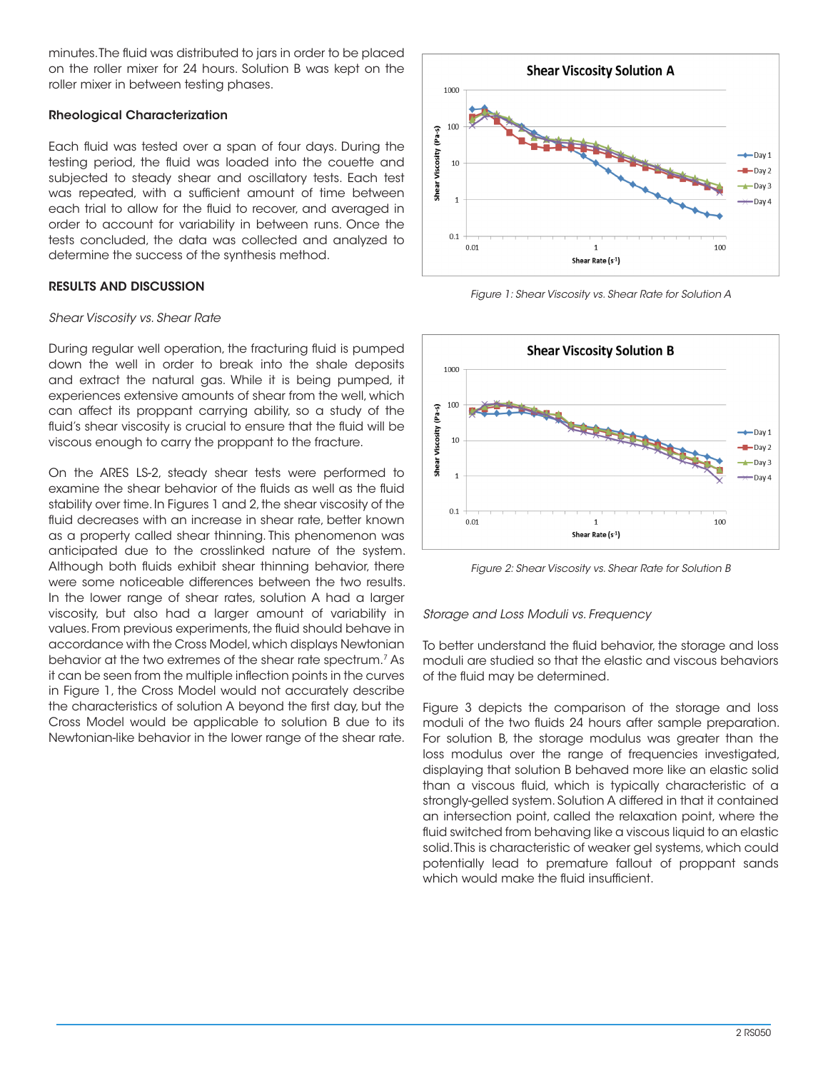minutes. The fluid was distributed to jars in order to be placed on the roller mixer for 24 hours. Solution B was kept on the roller mixer in between testing phases.

### Rheological Characterization

Each fluid was tested over a span of four days. During the testing period, the fluid was loaded into the couette and subjected to steady shear and oscillatory tests. Each test was repeated, with a sufficient amount of time between each trial to allow for the fluid to recover, and averaged in order to account for variability in between runs. Once the tests concluded, the data was collected and analyzed to determine the success of the synthesis method.

### RESULTS AND DISCUSSION

#### *Shear Viscosity vs. Shear Rate*

During regular well operation, the fracturing fluid is pumped down the well in order to break into the shale deposits and extract the natural gas. While it is being pumped, it experiences extensive amounts of shear from the well, which can affect its proppant carrying ability, so a study of the fluid's shear viscosity is crucial to ensure that the fluid will be viscous enough to carry the proppant to the fracture.

On the ARES LS-2, steady shear tests were performed to examine the shear behavior of the fluids as well as the fluid stability over time. In Figures 1 and 2, the shear viscosity of the fluid decreases with an increase in shear rate, better known as a property called shear thinning. This phenomenon was anticipated due to the crosslinked nature of the system. Although both fluids exhibit shear thinning behavior, there were some noticeable differences between the two results. In the lower range of shear rates, solution A had a larger viscosity, but also had a larger amount of variability in values. From previous experiments, the fluid should behave in accordance with the Cross Model, which displays Newtonian behavior at the two extremes of the shear rate spectrum.7 As it can be seen from the multiple inflection points in the curves in Figure 1, the Cross Model would not accurately describe the characteristics of solution A beyond the first day, but the Cross Model would be applicable to solution B due to its Newtonian-like behavior in the lower range of the shear rate.



*Figure 1: Shear Viscosity vs. Shear Rate for Solution A*



*Figure 2: Shear Viscosity vs. Shear Rate for Solution B*

#### *Storage and Loss Moduli vs. Frequency*

To better understand the fluid behavior, the storage and loss moduli are studied so that the elastic and viscous behaviors of the fluid may be determined.

Figure 3 depicts the comparison of the storage and loss moduli of the two fluids 24 hours after sample preparation. For solution B, the storage modulus was greater than the loss modulus over the range of frequencies investigated, displaying that solution B behaved more like an elastic solid than a viscous fluid, which is typically characteristic of a strongly-gelled system. Solution A differed in that it contained an intersection point, called the relaxation point, where the fluid switched from behaving like a viscous liquid to an elastic solid. This is characteristic of weaker gel systems, which could potentially lead to premature fallout of proppant sands which would make the fluid insufficient.